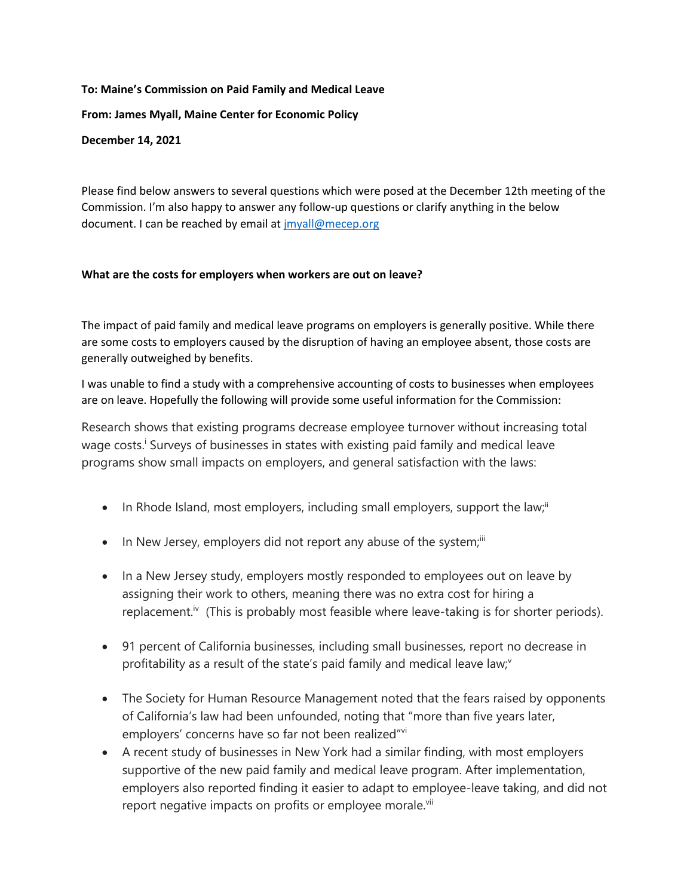# **To: Maine's Commission on Paid Family and Medical Leave From: James Myall, Maine Center for Economic Policy December 14, 2021**

Please find below answers to several questions which were posed at the December 12th meeting of the Commission. I'm also happy to answer any follow-up questions or clarify anything in the below document. I can be reached by email a[t jmyall@mecep.org](mailto:jmyall@mecep.org)

### **What are the costs for employers when workers are out on leave?**

The impact of paid family and medical leave programs on employers is generally positive. While there are some costs to employers caused by the disruption of having an employee absent, those costs are generally outweighed by benefits.

I was unable to find a study with a comprehensive accounting of costs to businesses when employees are on leave. Hopefully the following will provide some useful information for the Commission:

Research shows that existing programs decrease employee turnover without increasing total wage costs.<sup>i</sup> Surveys of businesses in states with existing paid family and medical leave programs show small impacts on employers, and general satisfaction with the laws:

- In Rhode Island, most employers, including small employers, support the law;<sup>ii</sup>
- $\bullet$  In New Jersey, employers did not report any abuse of the system; $\ddot{ }$
- In a New Jersey study, employers mostly responded to employees out on leave by assigning their work to others, meaning there was no extra cost for hiring a replacement.<sup>iv</sup> (This is probably most feasible where leave-taking is for shorter periods).
- 91 percent of California businesses, including small businesses, report no decrease in profitability as a result of the state's paid family and medical leave law; $v^2$
- The Society for Human Resource Management noted that the fears raised by opponents of California's law had been unfounded, noting that "more than five years later, employers' concerns have so far not been realized"vi
- A recent study of businesses in New York had a similar finding, with most employers supportive of the new paid family and medical leave program. After implementation, employers also reported finding it easier to adapt to employee-leave taking, and did not report negative impacts on profits or employee morale.<sup>vii</sup>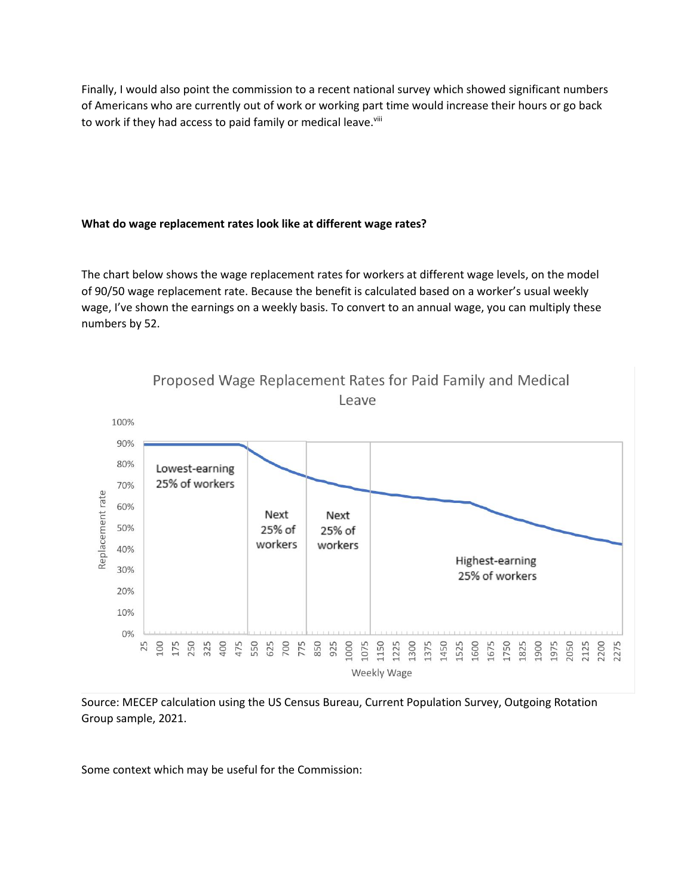Finally, I would also point the commission to a recent national survey which showed significant numbers of Americans who are currently out of work or working part time would increase their hours or go back to work if they had access to paid family or medical leave.<sup>viii</sup>

#### **What do wage replacement rates look like at different wage rates?**

The chart below shows the wage replacement rates for workers at different wage levels, on the model of 90/50 wage replacement rate. Because the benefit is calculated based on a worker's usual weekly wage, I've shown the earnings on a weekly basis. To convert to an annual wage, you can multiply these numbers by 52.



Source: MECEP calculation using the US Census Bureau, Current Population Survey, Outgoing Rotation Group sample, 2021.

Some context which may be useful for the Commission: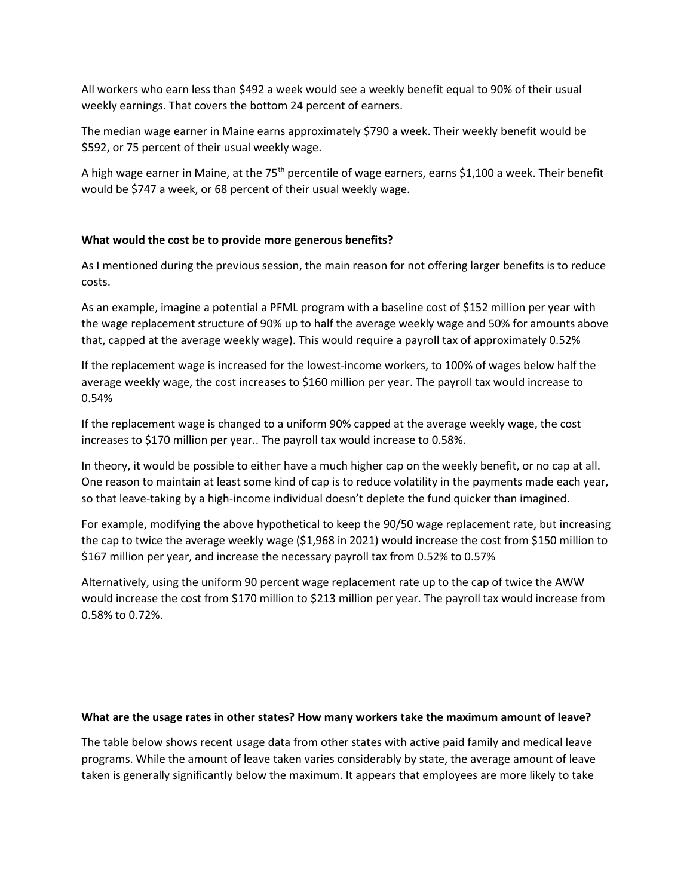All workers who earn less than \$492 a week would see a weekly benefit equal to 90% of their usual weekly earnings. That covers the bottom 24 percent of earners.

The median wage earner in Maine earns approximately \$790 a week. Their weekly benefit would be \$592, or 75 percent of their usual weekly wage.

A high wage earner in Maine, at the 75<sup>th</sup> percentile of wage earners, earns \$1,100 a week. Their benefit would be \$747 a week, or 68 percent of their usual weekly wage.

#### **What would the cost be to provide more generous benefits?**

As I mentioned during the previous session, the main reason for not offering larger benefits is to reduce costs.

As an example, imagine a potential a PFML program with a baseline cost of \$152 million per year with the wage replacement structure of 90% up to half the average weekly wage and 50% for amounts above that, capped at the average weekly wage). This would require a payroll tax of approximately 0.52%

If the replacement wage is increased for the lowest-income workers, to 100% of wages below half the average weekly wage, the cost increases to \$160 million per year. The payroll tax would increase to 0.54%

If the replacement wage is changed to a uniform 90% capped at the average weekly wage, the cost increases to \$170 million per year.. The payroll tax would increase to 0.58%.

In theory, it would be possible to either have a much higher cap on the weekly benefit, or no cap at all. One reason to maintain at least some kind of cap is to reduce volatility in the payments made each year, so that leave-taking by a high-income individual doesn't deplete the fund quicker than imagined.

For example, modifying the above hypothetical to keep the 90/50 wage replacement rate, but increasing the cap to twice the average weekly wage (\$1,968 in 2021) would increase the cost from \$150 million to \$167 million per year, and increase the necessary payroll tax from 0.52% to 0.57%

Alternatively, using the uniform 90 percent wage replacement rate up to the cap of twice the AWW would increase the cost from \$170 million to \$213 million per year. The payroll tax would increase from 0.58% to 0.72%.

#### **What are the usage rates in other states? How many workers take the maximum amount of leave?**

The table below shows recent usage data from other states with active paid family and medical leave programs. While the amount of leave taken varies considerably by state, the average amount of leave taken is generally significantly below the maximum. It appears that employees are more likely to take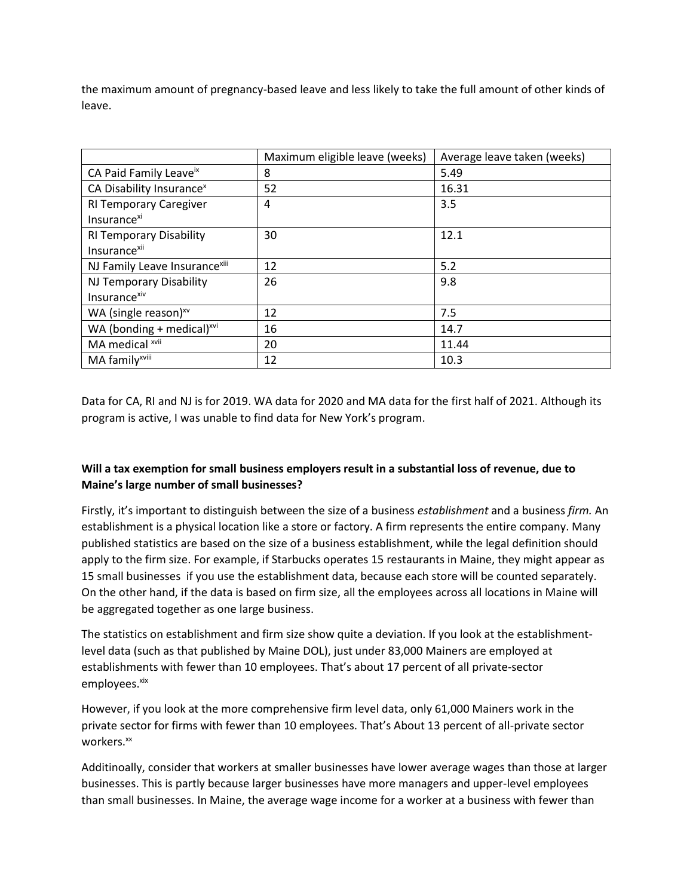the maximum amount of pregnancy-based leave and less likely to take the full amount of other kinds of leave.

|                                      | Maximum eligible leave (weeks) | Average leave taken (weeks) |
|--------------------------------------|--------------------------------|-----------------------------|
| CA Paid Family Leaveix               | 8                              | 5.49                        |
| CA Disability Insurance <sup>x</sup> | 52                             | 16.31                       |
| <b>RI Temporary Caregiver</b>        | 4                              | 3.5                         |
| Insurance <sup>xi</sup>              |                                |                             |
| <b>RI Temporary Disability</b>       | 30                             | 12.1                        |
| Insurance <sup>xii</sup>             |                                |                             |
| NJ Family Leave Insurancexiii        | 12                             | 5.2                         |
| NJ Temporary Disability              | 26                             | 9.8                         |
| Insurance <sup>xiv</sup>             |                                |                             |
| WA (single reason) $xv$              | 12                             | 7.5                         |
| WA (bonding + medical) $^{xvi}$      | 16                             | 14.7                        |
| MA medical xvii                      | 20                             | 11.44                       |
| MA family <sup>xviii</sup>           | 12                             | 10.3                        |

Data for CA, RI and NJ is for 2019. WA data for 2020 and MA data for the first half of 2021. Although its program is active, I was unable to find data for New York's program.

## **Will a tax exemption for small business employers result in a substantial loss of revenue, due to Maine's large number of small businesses?**

Firstly, it's important to distinguish between the size of a business *establishment* and a business *firm.* An establishment is a physical location like a store or factory. A firm represents the entire company. Many published statistics are based on the size of a business establishment, while the legal definition should apply to the firm size. For example, if Starbucks operates 15 restaurants in Maine, they might appear as 15 small businesses if you use the establishment data, because each store will be counted separately. On the other hand, if the data is based on firm size, all the employees across all locations in Maine will be aggregated together as one large business.

The statistics on establishment and firm size show quite a deviation. If you look at the establishmentlevel data (such as that published by Maine DOL), just under 83,000 Mainers are employed at establishments with fewer than 10 employees. That's about 17 percent of all private-sector employees.xix

However, if you look at the more comprehensive firm level data, only 61,000 Mainers work in the private sector for firms with fewer than 10 employees. That's About 13 percent of all-private sector workers.<sup>xx</sup>

Additinoally, consider that workers at smaller businesses have lower average wages than those at larger businesses. This is partly because larger businesses have more managers and upper-level employees than small businesses. In Maine, the average wage income for a worker at a business with fewer than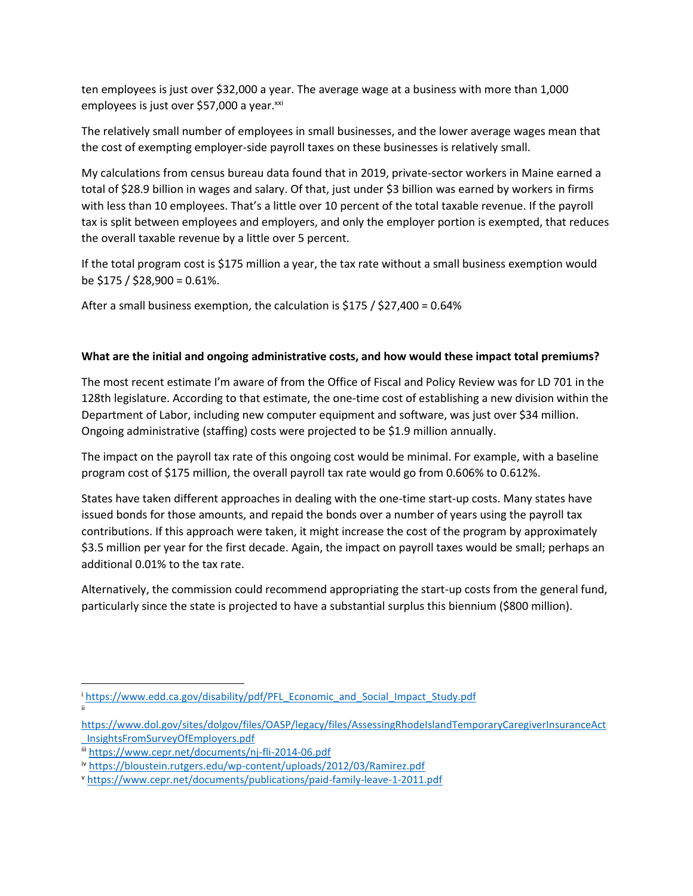ten employees is just over \$32,000 a year. The average wage at a business with more than 1,000 employees is just over \$57,000 a year.<sup>xxi</sup>

The relatively small number of employees in small businesses, and the lower average wages mean that the cost of exempting employer-side payroll taxes on these businesses is relatively small.

My calculations from census bureau data found that in 2019, private-sector workers in Maine earned a total of \$28.9 billion in wages and salary. Of that, just under \$3 billion was earned by workers in firms with less than 10 employees. That's a little over 10 percent of the total taxable revenue. If the payroll tax is split between employees and employers, and only the employer portion is exempted, that reduces the overall taxable revenue by a little over 5 percent.

If the total program cost is \$175 million a year, the tax rate without a small business exemption would be \$175 / \$28,900 = 0.61%.

After a small business exemption, the calculation is \$175 / \$27,400 = 0.64%

#### **What are the initial and ongoing administrative costs, and how would these impact total premiums?**

The most recent estimate I'm aware of from the Office of Fiscal and Policy Review was for LD 701 in the 128th legislature. According to that estimate, the one-time cost of establishing a new division within the Department of Labor, including new computer equipment and software, was just over \$34 million. Ongoing administrative (staffing) costs were projected to be \$1.9 million annually.

The impact on the payroll tax rate of this ongoing cost would be minimal. For example, with a baseline program cost of \$175 million, the overall payroll tax rate would go from 0.606% to 0.612%.

States have taken different approaches in dealing with the one-time start-up costs. Many states have issued bonds for those amounts, and repaid the bonds over a number of years using the payroll tax contributions. If this approach were taken, it might increase the cost of the program by approximately \$3.5 million per year for the first decade. Again, the impact on payroll taxes would be small; perhaps an additional 0.01% to the tax rate.

Alternatively, the commission could recommend appropriating the start-up costs from the general fund, particularly since the state is projected to have a substantial surplus this biennium (\$800 million).

 $\overline{a}$ 

i [https://www.edd.ca.gov/disability/pdf/PFL\\_Economic\\_and\\_Social\\_Impact\\_Study.pdf](https://www.edd.ca.gov/disability/pdf/PFL_Economic_and_Social_Impact_Study.pdf) ii

[https://www.dol.gov/sites/dolgov/files/OASP/legacy/files/AssessingRhodeIslandTemporaryCaregiverInsuranceAct](https://www.dol.gov/sites/dolgov/files/OASP/legacy/files/AssessingRhodeIslandTemporaryCaregiverInsuranceAct_InsightsFromSurveyOfEmployers.pdf) [\\_InsightsFromSurveyOfEmployers.pdf](https://www.dol.gov/sites/dolgov/files/OASP/legacy/files/AssessingRhodeIslandTemporaryCaregiverInsuranceAct_InsightsFromSurveyOfEmployers.pdf)

iii <https://www.cepr.net/documents/nj-fli-2014-06.pdf>

iv <https://bloustein.rutgers.edu/wp-content/uploads/2012/03/Ramirez.pdf>

<sup>v</sup> <https://www.cepr.net/documents/publications/paid-family-leave-1-2011.pdf>